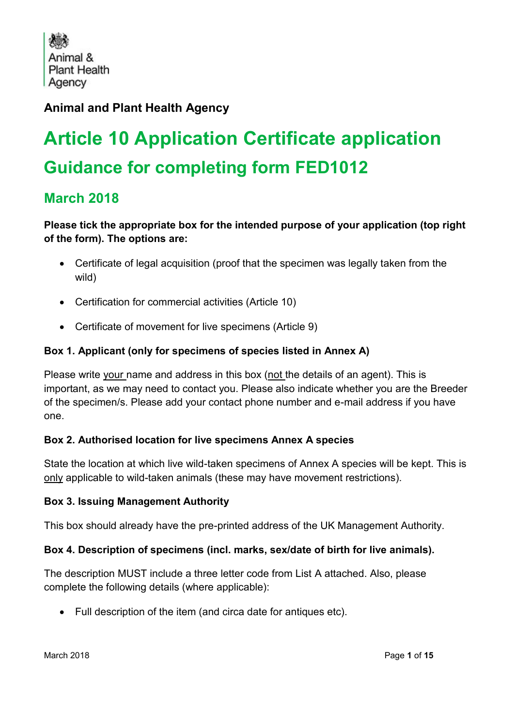Animal & **Plant Health** Agency

# **Animal and Plant Health Agency**

# **Article 10 Application Certificate application Guidance for completing form FED1012**

# **March 2018**

### **Please tick the appropriate box for the intended purpose of your application (top right of the form). The options are:**

- Certificate of legal acquisition (proof that the specimen was legally taken from the wild)
- Certification for commercial activities (Article 10)
- Certificate of movement for live specimens (Article 9)

## **Box 1. Applicant (only for specimens of species listed in Annex A)**

Please write your name and address in this box (not the details of an agent). This is important, as we may need to contact you. Please also indicate whether you are the Breeder of the specimen/s. Please add your contact phone number and e-mail address if you have one.

#### **Box 2. Authorised location for live specimens Annex A species**

State the location at which live wild-taken specimens of Annex A species will be kept. This is only applicable to wild-taken animals (these may have movement restrictions).

#### **Box 3. Issuing Management Authority**

This box should already have the pre-printed address of the UK Management Authority.

#### **Box 4. Description of specimens (incl. marks, sex/date of birth for live animals).**

The description MUST include a three letter code from List A attached. Also, please complete the following details (where applicable):

Full description of the item (and circa date for antiques etc).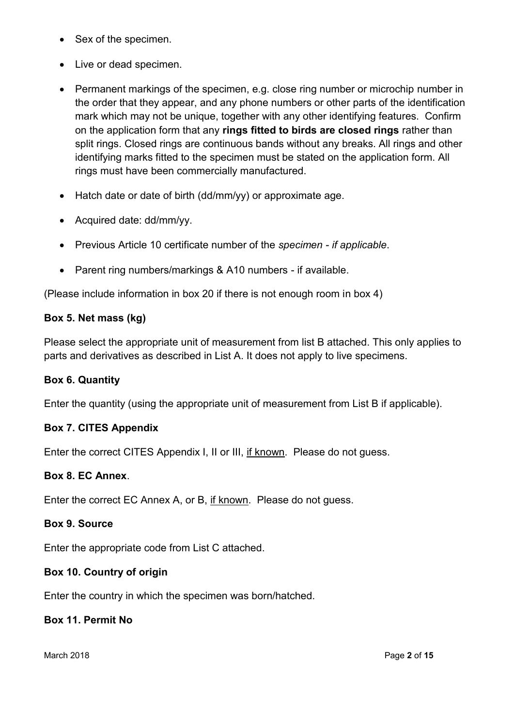- Sex of the specimen.
- Live or dead specimen.
- Permanent markings of the specimen, e.g. close ring number or microchip number in the order that they appear, and any phone numbers or other parts of the identification mark which may not be unique, together with any other identifying features. Confirm on the application form that any **rings fitted to birds are closed rings** rather than split rings. Closed rings are continuous bands without any breaks. All rings and other identifying marks fitted to the specimen must be stated on the application form. All rings must have been commercially manufactured.
- Hatch date or date of birth (dd/mm/yy) or approximate age.
- Acquired date: dd/mm/yy.
- Previous Article 10 certificate number of the *specimen - if applicable*.
- Parent ring numbers/markings & A10 numbers if available.

(Please include information in box 20 if there is not enough room in box 4)

#### **Box 5. Net mass (kg)**

Please select the appropriate unit of measurement from list B attached. This only applies to parts and derivatives as described in List A. It does not apply to live specimens.

#### **Box 6. Quantity**

Enter the quantity (using the appropriate unit of measurement from List B if applicable).

#### **Box 7. CITES Appendix**

Enter the correct CITES Appendix I, II or III, if known. Please do not guess.

#### **Box 8. EC Annex**.

Enter the correct EC Annex A, or B, if known. Please do not guess.

#### **Box 9. Source**

Enter the appropriate code from List C attached.

#### **Box 10. Country of origin**

Enter the country in which the specimen was born/hatched.

#### **Box 11. Permit No**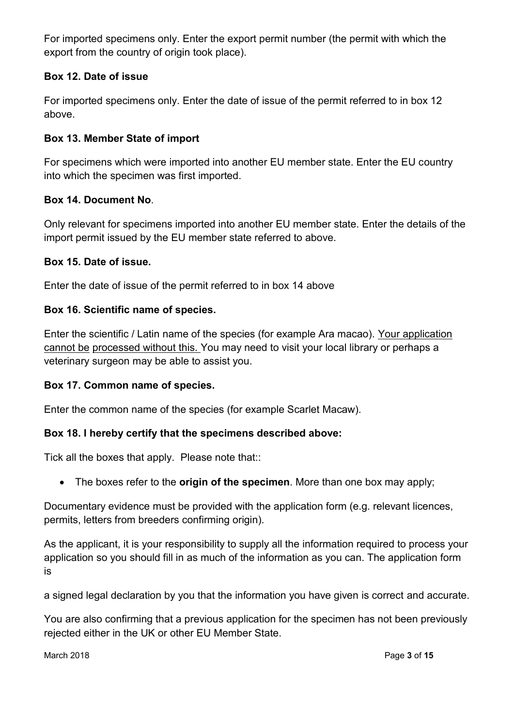For imported specimens only. Enter the export permit number (the permit with which the export from the country of origin took place).

#### **Box 12. Date of issue**

For imported specimens only. Enter the date of issue of the permit referred to in box 12 above.

#### **Box 13. Member State of import**

For specimens which were imported into another EU member state. Enter the EU country into which the specimen was first imported.

#### **Box 14. Document No**.

Only relevant for specimens imported into another EU member state. Enter the details of the import permit issued by the EU member state referred to above.

#### **Box 15. Date of issue.**

Enter the date of issue of the permit referred to in box 14 above

#### **Box 16. Scientific name of species.**

Enter the scientific / Latin name of the species (for example Ara macao). Your application cannot be processed without this. You may need to visit your local library or perhaps a veterinary surgeon may be able to assist you.

#### **Box 17. Common name of species.**

Enter the common name of the species (for example Scarlet Macaw).

#### **Box 18. I hereby certify that the specimens described above:**

Tick all the boxes that apply. Please note that::

The boxes refer to the **origin of the specimen**. More than one box may apply;

Documentary evidence must be provided with the application form (e.g. relevant licences, permits, letters from breeders confirming origin).

As the applicant, it is your responsibility to supply all the information required to process your application so you should fill in as much of the information as you can. The application form is

a signed legal declaration by you that the information you have given is correct and accurate.

You are also confirming that a previous application for the specimen has not been previously rejected either in the UK or other EU Member State.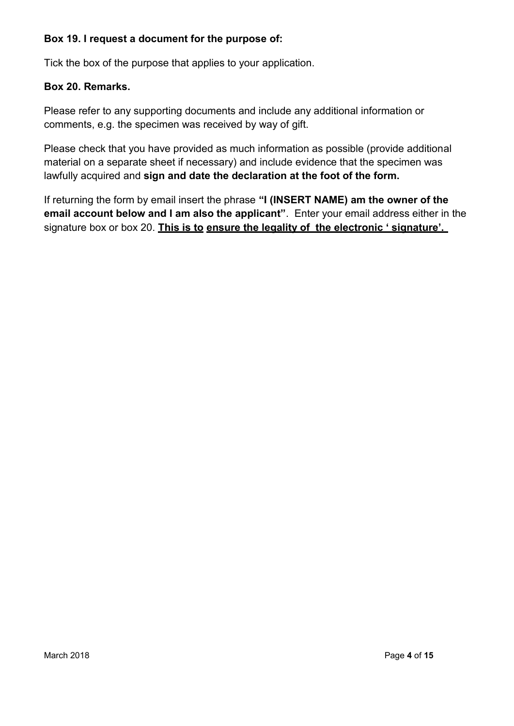#### **Box 19. I request a document for the purpose of:**

Tick the box of the purpose that applies to your application.

#### **Box 20. Remarks.**

Please refer to any supporting documents and include any additional information or comments, e.g. the specimen was received by way of gift.

Please check that you have provided as much information as possible (provide additional material on a separate sheet if necessary) and include evidence that the specimen was lawfully acquired and **sign and date the declaration at the foot of the form.**

If returning the form by email insert the phrase **"I (INSERT NAME) am the owner of the email account below and I am also the applicant"**. Enter your email address either in the signature box or box 20. **This is to ensure the legality of the electronic ' signature'.**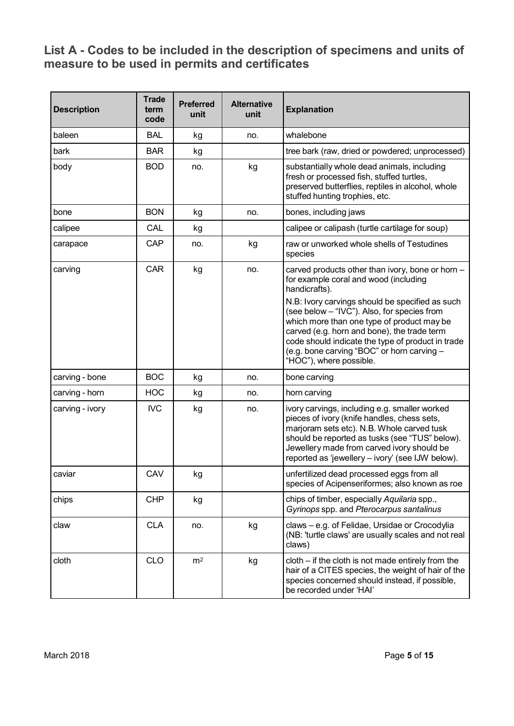# **List A - Codes to be included in the description of specimens and units of measure to be used in permits and certificates**

| <b>Description</b> | <b>Trade</b><br>term<br>code | <b>Preferred</b><br>unit | <b>Alternative</b><br>unit | <b>Explanation</b>                                                                                                                                                                                                                                                                                                        |
|--------------------|------------------------------|--------------------------|----------------------------|---------------------------------------------------------------------------------------------------------------------------------------------------------------------------------------------------------------------------------------------------------------------------------------------------------------------------|
| baleen             | <b>BAL</b>                   | kg                       | no.                        | whalebone                                                                                                                                                                                                                                                                                                                 |
| bark               | <b>BAR</b>                   | kg                       |                            | tree bark (raw, dried or powdered; unprocessed)                                                                                                                                                                                                                                                                           |
| body               | <b>BOD</b>                   | no.                      | kg                         | substantially whole dead animals, including<br>fresh or processed fish, stuffed turtles,<br>preserved butterflies, reptiles in alcohol, whole<br>stuffed hunting trophies, etc.                                                                                                                                           |
| bone               | <b>BON</b>                   | kg                       | no.                        | bones, including jaws                                                                                                                                                                                                                                                                                                     |
| calipee            | CAL                          | kg                       |                            | calipee or calipash (turtle cartilage for soup)                                                                                                                                                                                                                                                                           |
| carapace           | CAP                          | no.                      | kg                         | raw or unworked whole shells of Testudines<br>species                                                                                                                                                                                                                                                                     |
| carving            | <b>CAR</b>                   | kg                       | no.                        | carved products other than ivory, bone or horn -<br>for example coral and wood (including<br>handicrafts).                                                                                                                                                                                                                |
|                    |                              |                          |                            | N.B: Ivory carvings should be specified as such<br>(see below - "IVC"). Also, for species from<br>which more than one type of product may be<br>carved (e.g. horn and bone), the trade term<br>code should indicate the type of product in trade<br>(e.g. bone carving "BOC" or horn carving -<br>"HOC"), where possible. |
| carving - bone     | <b>BOC</b>                   | kg                       | no.                        | bone carving                                                                                                                                                                                                                                                                                                              |
| carving - horn     | <b>HOC</b>                   | kg                       | no.                        | horn carving                                                                                                                                                                                                                                                                                                              |
| carving - ivory    | <b>IVC</b>                   | kg                       | no.                        | ivory carvings, including e.g. smaller worked<br>pieces of ivory (knife handles, chess sets,<br>marjoram sets etc). N.B. Whole carved tusk<br>should be reported as tusks (see "TUS" below).<br>Jewellery made from carved ivory should be<br>reported as 'jewellery - ivory' (see IJW below).                            |
| caviar             | CAV                          | kg                       |                            | unfertilized dead processed eggs from all<br>species of Acipenseriformes; also known as roe                                                                                                                                                                                                                               |
| chips              | <b>CHP</b>                   | kg                       |                            | chips of timber, especially Aquilaria spp.,<br>Gyrinops spp. and Pterocarpus santalinus                                                                                                                                                                                                                                   |
| claw               | <b>CLA</b>                   | no.                      | kg                         | claws - e.g. of Felidae, Ursidae or Crocodylia<br>(NB: 'turtle claws' are usually scales and not real<br>claws)                                                                                                                                                                                                           |
| cloth              | <b>CLO</b>                   | m <sup>2</sup>           | kg                         | cloth – if the cloth is not made entirely from the<br>hair of a CITES species, the weight of hair of the<br>species concerned should instead, if possible,<br>be recorded under 'HAI'                                                                                                                                     |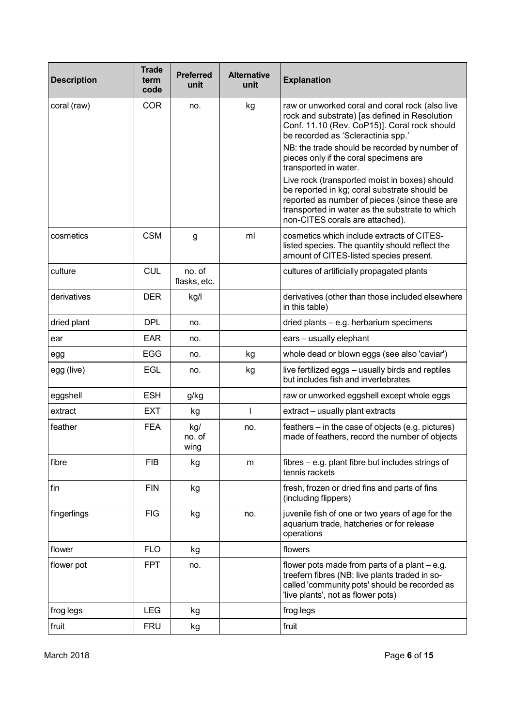| <b>Description</b> | <b>Trade</b><br>term<br>code | <b>Preferred</b><br>unit | <b>Alternative</b><br>unit | <b>Explanation</b>                                                                                                                                                                                                                  |
|--------------------|------------------------------|--------------------------|----------------------------|-------------------------------------------------------------------------------------------------------------------------------------------------------------------------------------------------------------------------------------|
| coral (raw)        | <b>COR</b>                   | no.                      | kg                         | raw or unworked coral and coral rock (also live<br>rock and substrate) [as defined in Resolution<br>Conf. 11.10 (Rev. CoP15)]. Coral rock should<br>be recorded as 'Scleractinia spp.'                                              |
|                    |                              |                          |                            | NB: the trade should be recorded by number of<br>pieces only if the coral specimens are<br>transported in water.                                                                                                                    |
|                    |                              |                          |                            | Live rock (transported moist in boxes) should<br>be reported in kg; coral substrate should be<br>reported as number of pieces (since these are<br>transported in water as the substrate to which<br>non-CITES corals are attached). |
| cosmetics          | <b>CSM</b>                   | g                        | ml                         | cosmetics which include extracts of CITES-<br>listed species. The quantity should reflect the<br>amount of CITES-listed species present.                                                                                            |
| culture            | <b>CUL</b>                   | no. of<br>flasks, etc.   |                            | cultures of artificially propagated plants                                                                                                                                                                                          |
| derivatives        | <b>DER</b>                   | kg/l                     |                            | derivatives (other than those included elsewhere<br>in this table)                                                                                                                                                                  |
| dried plant        | <b>DPL</b>                   | no.                      |                            | dried plants - e.g. herbarium specimens                                                                                                                                                                                             |
| ear                | <b>EAR</b>                   | no.                      |                            | ears - usually elephant                                                                                                                                                                                                             |
| egg                | <b>EGG</b>                   | no.                      | kg                         | whole dead or blown eggs (see also 'caviar')                                                                                                                                                                                        |
| egg (live)         | <b>EGL</b>                   | no.                      | kg                         | live fertilized eggs - usually birds and reptiles<br>but includes fish and invertebrates                                                                                                                                            |
| eggshell           | <b>ESH</b>                   | g/kg                     |                            | raw or unworked eggshell except whole eggs                                                                                                                                                                                          |
| extract            | <b>EXT</b>                   | kg                       | I.                         | extract - usually plant extracts                                                                                                                                                                                                    |
| feather            | <b>FEA</b>                   | kg/<br>no. of<br>wing    | no.                        | feathers – in the case of objects (e.g. pictures)<br>made of feathers, record the number of objects                                                                                                                                 |
| fibre              | <b>FIB</b>                   | kg                       | m                          | fibres – e.g. plant fibre but includes strings of<br>tennis rackets                                                                                                                                                                 |
| fin                | <b>FIN</b>                   | kg                       |                            | fresh, frozen or dried fins and parts of fins<br>(including flippers)                                                                                                                                                               |
| fingerlings        | <b>FIG</b>                   | kg                       | no.                        | juvenile fish of one or two years of age for the<br>aquarium trade, hatcheries or for release<br>operations                                                                                                                         |
| flower             | <b>FLO</b>                   | kg                       |                            | flowers                                                                                                                                                                                                                             |
| flower pot         | <b>FPT</b>                   | no.                      |                            | flower pots made from parts of a plant $-$ e.g.<br>treefern fibres (NB: live plants traded in so-<br>called 'community pots' should be recorded as<br>'live plants', not as flower pots)                                            |
| frog legs          | <b>LEG</b>                   | kg                       |                            | frog legs                                                                                                                                                                                                                           |
| fruit              | <b>FRU</b>                   | kg                       |                            | fruit                                                                                                                                                                                                                               |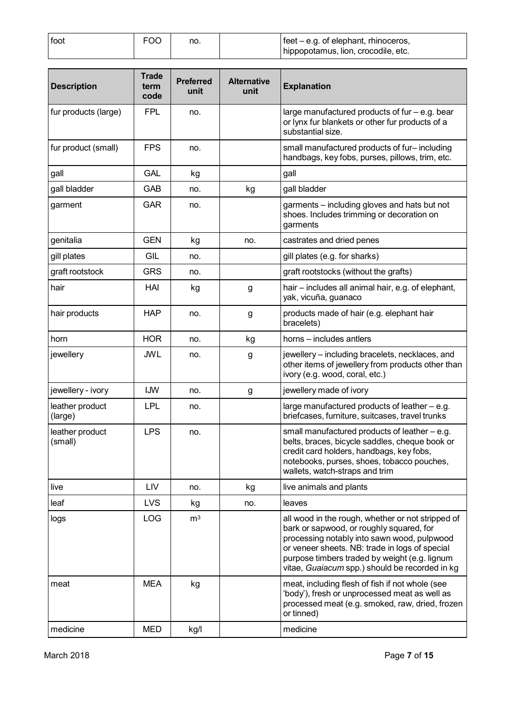| foot | <b>FOC</b> | no. | $\left  \right $ feet – e.g. of elephant, rhinoceros, |
|------|------------|-----|-------------------------------------------------------|
|      |            |     | hippopotamus, lion, crocodile, etc.                   |

| <b>Description</b>         | <b>Trade</b><br>term<br>code | <b>Preferred</b><br>unit | <b>Alternative</b><br>unit | <b>Explanation</b>                                                                                                                                                                                                                                                                                |
|----------------------------|------------------------------|--------------------------|----------------------------|---------------------------------------------------------------------------------------------------------------------------------------------------------------------------------------------------------------------------------------------------------------------------------------------------|
| fur products (large)       | <b>FPL</b>                   | no.                      |                            | large manufactured products of fur $-$ e.g. bear<br>or lynx fur blankets or other fur products of a<br>substantial size.                                                                                                                                                                          |
| fur product (small)        | <b>FPS</b>                   | no.                      |                            | small manufactured products of fur-including<br>handbags, key fobs, purses, pillows, trim, etc.                                                                                                                                                                                                   |
| gall                       | <b>GAL</b>                   | kg                       |                            | gall                                                                                                                                                                                                                                                                                              |
| gall bladder               | GAB                          | no.                      | kg                         | gall bladder                                                                                                                                                                                                                                                                                      |
| garment                    | <b>GAR</b>                   | no.                      |                            | garments - including gloves and hats but not<br>shoes. Includes trimming or decoration on<br>garments                                                                                                                                                                                             |
| genitalia                  | <b>GEN</b>                   | kg                       | no.                        | castrates and dried penes                                                                                                                                                                                                                                                                         |
| gill plates                | <b>GIL</b>                   | no.                      |                            | gill plates (e.g. for sharks)                                                                                                                                                                                                                                                                     |
| graft rootstock            | <b>GRS</b>                   | no.                      |                            | graft rootstocks (without the grafts)                                                                                                                                                                                                                                                             |
| hair                       | HAI                          | kg                       | g                          | hair – includes all animal hair, e.g. of elephant,<br>yak, vicuña, guanaco                                                                                                                                                                                                                        |
| hair products              | <b>HAP</b>                   | no.                      | g                          | products made of hair (e.g. elephant hair<br>bracelets)                                                                                                                                                                                                                                           |
| horn                       | <b>HOR</b>                   | no.                      | kg                         | horns – includes antlers                                                                                                                                                                                                                                                                          |
| jewellery                  | <b>JWL</b>                   | no.                      | g                          | jewellery - including bracelets, necklaces, and<br>other items of jewellery from products other than<br>ivory (e.g. wood, coral, etc.)                                                                                                                                                            |
| jewellery - ivory          | IJW                          | no.                      | g                          | jewellery made of ivory                                                                                                                                                                                                                                                                           |
| leather product<br>(large) | <b>LPL</b>                   | no.                      |                            | large manufactured products of leather - e.g.<br>briefcases, furniture, suitcases, travel trunks                                                                                                                                                                                                  |
| leather product<br>(small) | <b>LPS</b>                   | no.                      |                            | small manufactured products of leather $-$ e.g.<br>belts, braces, bicycle saddles, cheque book or<br>credit card holders, handbags, key fobs,<br>notebooks, purses, shoes, tobacco pouches,<br>wallets, watch-straps and trim                                                                     |
| live                       | LIV                          | no.                      | kg                         | live animals and plants                                                                                                                                                                                                                                                                           |
| leaf                       | <b>LVS</b>                   | kg                       | no.                        | leaves                                                                                                                                                                                                                                                                                            |
| logs                       | LOG                          | m <sup>3</sup>           |                            | all wood in the rough, whether or not stripped of<br>bark or sapwood, or roughly squared, for<br>processing notably into sawn wood, pulpwood<br>or veneer sheets. NB: trade in logs of special<br>purpose timbers traded by weight (e.g. lignum<br>vitae, Guaiacum spp.) should be recorded in kg |
| meat                       | <b>MEA</b>                   | kg                       |                            | meat, including flesh of fish if not whole (see<br>'body'), fresh or unprocessed meat as well as<br>processed meat (e.g. smoked, raw, dried, frozen<br>or tinned)                                                                                                                                 |
| medicine                   | <b>MED</b>                   | kg/l                     |                            | medicine                                                                                                                                                                                                                                                                                          |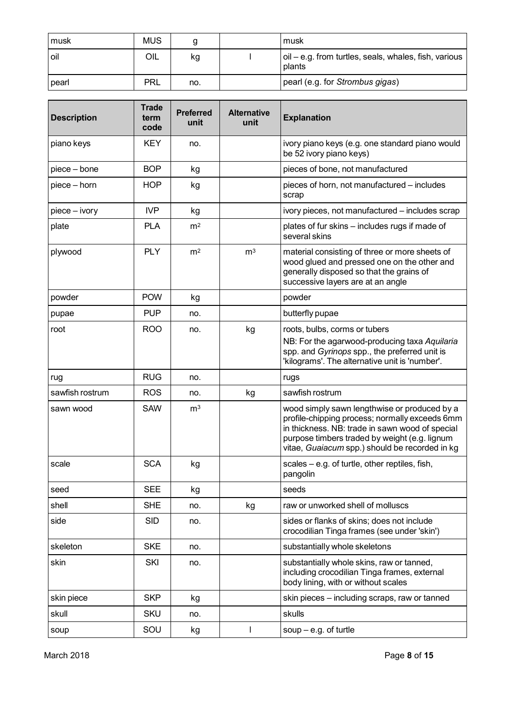| l musk  | <b>MUS</b> |     | musk                                                            |
|---------|------------|-----|-----------------------------------------------------------------|
| l oil   | OIL        | kg  | oil – e.g. from turtles, seals, whales, fish, various<br>plants |
| l pearl | <b>PRL</b> | no. | pearl (e.g. for Strombus gigas)                                 |

| <b>Description</b> | <b>Trade</b><br>term<br>code | <b>Preferred</b><br>unit | <b>Alternative</b><br>unit | <b>Explanation</b>                                                                                                                                                                                                                                   |
|--------------------|------------------------------|--------------------------|----------------------------|------------------------------------------------------------------------------------------------------------------------------------------------------------------------------------------------------------------------------------------------------|
| piano keys         | <b>KEY</b>                   | no.                      |                            | ivory piano keys (e.g. one standard piano would<br>be 52 ivory piano keys)                                                                                                                                                                           |
| piece - bone       | <b>BOP</b>                   | kg                       |                            | pieces of bone, not manufactured                                                                                                                                                                                                                     |
| piece - horn       | <b>HOP</b>                   | kg                       |                            | pieces of horn, not manufactured – includes<br>scrap                                                                                                                                                                                                 |
| piece - ivory      | <b>IVP</b>                   | kg                       |                            | ivory pieces, not manufactured - includes scrap                                                                                                                                                                                                      |
| plate              | <b>PLA</b>                   | m <sup>2</sup>           |                            | plates of fur skins - includes rugs if made of<br>several skins                                                                                                                                                                                      |
| plywood            | <b>PLY</b>                   | m <sup>2</sup>           | m <sup>3</sup>             | material consisting of three or more sheets of<br>wood glued and pressed one on the other and<br>generally disposed so that the grains of<br>successive layers are at an angle                                                                       |
| powder             | <b>POW</b>                   | kg                       |                            | powder                                                                                                                                                                                                                                               |
| pupae              | <b>PUP</b>                   | no.                      |                            | butterfly pupae                                                                                                                                                                                                                                      |
| root               | <b>ROO</b>                   | no.                      | kg                         | roots, bulbs, corms or tubers<br>NB: For the agarwood-producing taxa Aquilaria<br>spp. and Gyrinops spp., the preferred unit is<br>'kilograms'. The alternative unit is 'number'.                                                                    |
| rug                | <b>RUG</b>                   | no.                      |                            | rugs                                                                                                                                                                                                                                                 |
| sawfish rostrum    | <b>ROS</b>                   | no.                      | kg                         | sawfish rostrum                                                                                                                                                                                                                                      |
| sawn wood          | <b>SAW</b>                   | m <sup>3</sup>           |                            | wood simply sawn lengthwise or produced by a<br>profile-chipping process; normally exceeds 6mm<br>in thickness. NB: trade in sawn wood of special<br>purpose timbers traded by weight (e.g. lignum<br>vitae, Guaiacum spp.) should be recorded in kg |
| scale              | <b>SCA</b>                   | kg                       |                            | scales $-$ e.g. of turtle, other reptiles, fish,<br>pangolin                                                                                                                                                                                         |
| seed               | <b>SEE</b>                   | kg                       |                            | seeds                                                                                                                                                                                                                                                |
| shell              | <b>SHE</b>                   | no.                      | kg                         | raw or unworked shell of molluscs                                                                                                                                                                                                                    |
| side               | <b>SID</b>                   | no.                      |                            | sides or flanks of skins; does not include<br>crocodilian Tinga frames (see under 'skin')                                                                                                                                                            |
| skeleton           | <b>SKE</b>                   | no.                      |                            | substantially whole skeletons                                                                                                                                                                                                                        |
| skin               | SKI                          | no.                      |                            | substantially whole skins, raw or tanned,<br>including crocodilian Tinga frames, external<br>body lining, with or without scales                                                                                                                     |
| skin piece         | <b>SKP</b>                   | kg                       |                            | skin pieces - including scraps, raw or tanned                                                                                                                                                                                                        |
| skull              | <b>SKU</b>                   | no.                      |                            | skulls                                                                                                                                                                                                                                               |
| soup               | SOU                          | kg                       |                            | soup $-$ e.g. of turtle                                                                                                                                                                                                                              |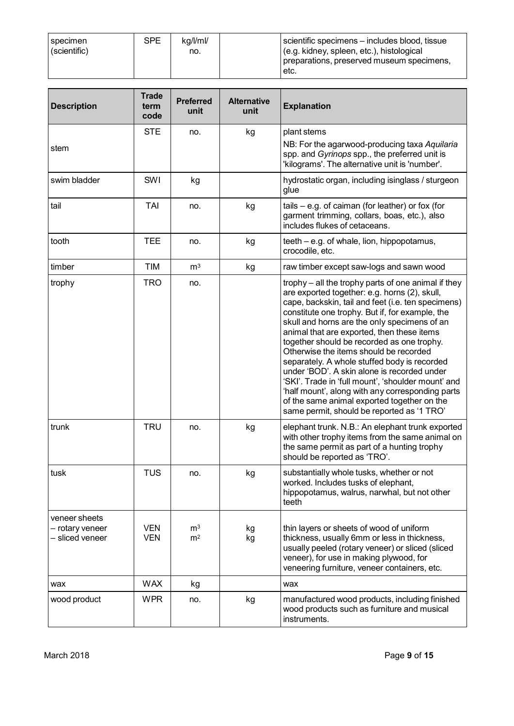| specimen<br>(scientific) | SPE. | ka/l/ml/<br>no. | scientific specimens – includes blood, tissue<br>(e.g. kidney, spleen, etc.), histological<br>preparations, preserved museum specimens, |
|--------------------------|------|-----------------|-----------------------------------------------------------------------------------------------------------------------------------------|
|                          |      |                 | ±etc.                                                                                                                                   |

| <b>Description</b>                                  | <b>Trade</b><br>term<br>code | <b>Preferred</b><br>unit         | <b>Alternative</b><br>unit | <b>Explanation</b>                                                                                                                                                                                                                                                                                                                                                                                                                                                                                                                                                                                                                                                                                        |
|-----------------------------------------------------|------------------------------|----------------------------------|----------------------------|-----------------------------------------------------------------------------------------------------------------------------------------------------------------------------------------------------------------------------------------------------------------------------------------------------------------------------------------------------------------------------------------------------------------------------------------------------------------------------------------------------------------------------------------------------------------------------------------------------------------------------------------------------------------------------------------------------------|
| stem                                                | <b>STE</b>                   | no.                              | kg                         | plant stems<br>NB: For the agarwood-producing taxa Aquilaria<br>spp. and Gyrinops spp., the preferred unit is<br>'kilograms'. The alternative unit is 'number'.                                                                                                                                                                                                                                                                                                                                                                                                                                                                                                                                           |
| swim bladder                                        | SWI                          | kg                               |                            | hydrostatic organ, including isinglass / sturgeon<br>glue                                                                                                                                                                                                                                                                                                                                                                                                                                                                                                                                                                                                                                                 |
| tail                                                | TAI                          | no.                              | kg                         | tails $-$ e.g. of caiman (for leather) or fox (for<br>garment trimming, collars, boas, etc.), also<br>includes flukes of cetaceans.                                                                                                                                                                                                                                                                                                                                                                                                                                                                                                                                                                       |
| tooth                                               | <b>TEE</b>                   | no.                              | kg                         | teeth – e.g. of whale, lion, hippopotamus,<br>crocodile, etc.                                                                                                                                                                                                                                                                                                                                                                                                                                                                                                                                                                                                                                             |
| timber                                              | TIM                          | m <sup>3</sup>                   | kg                         | raw timber except saw-logs and sawn wood                                                                                                                                                                                                                                                                                                                                                                                                                                                                                                                                                                                                                                                                  |
| trophy                                              | <b>TRO</b>                   | no.                              |                            | trophy – all the trophy parts of one animal if they<br>are exported together: e.g. horns (2), skull,<br>cape, backskin, tail and feet (i.e. ten specimens)<br>constitute one trophy. But if, for example, the<br>skull and horns are the only specimens of an<br>animal that are exported, then these items<br>together should be recorded as one trophy.<br>Otherwise the items should be recorded<br>separately. A whole stuffed body is recorded<br>under 'BOD'. A skin alone is recorded under<br>'SKI'. Trade in 'full mount', 'shoulder mount' and<br>'half mount', along with any corresponding parts<br>of the same animal exported together on the<br>same permit, should be reported as '1 TRO' |
| trunk                                               | <b>TRU</b>                   | no.                              | kg                         | elephant trunk. N.B.: An elephant trunk exported<br>with other trophy items from the same animal on<br>the same permit as part of a hunting trophy<br>should be reported as 'TRO'.                                                                                                                                                                                                                                                                                                                                                                                                                                                                                                                        |
| tusk                                                | TUS                          | no.                              | kg                         | substantially whole tusks, whether or not<br>worked. Includes tusks of elephant,<br>hippopotamus, walrus, narwhal, but not other<br>teeth                                                                                                                                                                                                                                                                                                                                                                                                                                                                                                                                                                 |
| veneer sheets<br>- rotary veneer<br>- sliced veneer | <b>VEN</b><br><b>VEN</b>     | m <sup>3</sup><br>m <sup>2</sup> | kg<br>kg                   | thin layers or sheets of wood of uniform<br>thickness, usually 6mm or less in thickness,<br>usually peeled (rotary veneer) or sliced (sliced<br>veneer), for use in making plywood, for<br>veneering furniture, veneer containers, etc.                                                                                                                                                                                                                                                                                                                                                                                                                                                                   |
| wax                                                 | <b>WAX</b>                   | kg                               |                            | wax                                                                                                                                                                                                                                                                                                                                                                                                                                                                                                                                                                                                                                                                                                       |
| wood product                                        | <b>WPR</b>                   | no.                              | kg                         | manufactured wood products, including finished<br>wood products such as furniture and musical<br>instruments.                                                                                                                                                                                                                                                                                                                                                                                                                                                                                                                                                                                             |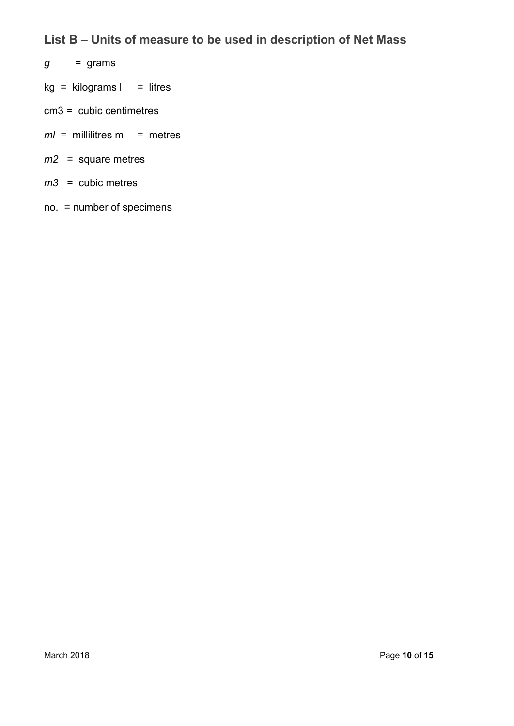# **List B – Units of measure to be used in description of Net Mass**

- $g =$ grams
- $kg = kilograms I = litres$
- cm3 = cubic centimetres
- *ml* = millilitres m = metres
- *m2* = square metres
- *m3* = cubic metres
- no. = number of specimens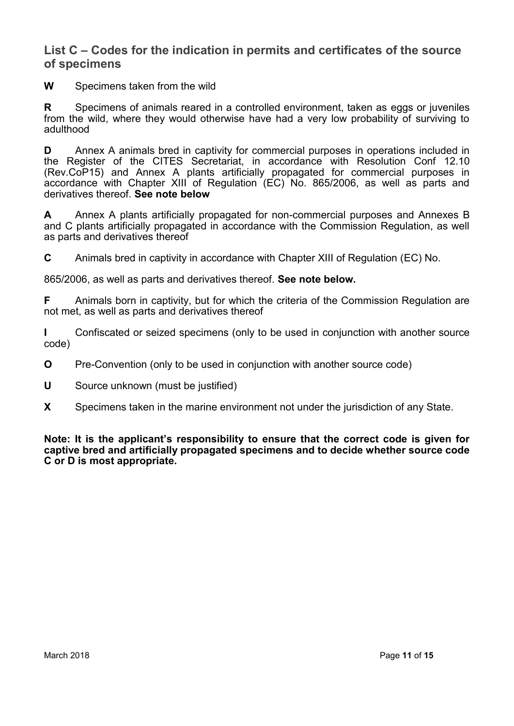#### **List C – Codes for the indication in permits and certificates of the source of specimens**

**W** Specimens taken from the wild

**R** Specimens of animals reared in a controlled environment, taken as eggs or juveniles from the wild, where they would otherwise have had a very low probability of surviving to adulthood

**D** Annex A animals bred in captivity for commercial purposes in operations included in the Register of the CITES Secretariat, in accordance with Resolution Conf 12.10 (Rev.CoP15) and Annex A plants artificially propagated for commercial purposes in accordance with Chapter XIII of Regulation (EC) No. 865/2006, as well as parts and derivatives thereof. **See note below**

**A** Annex A plants artificially propagated for non-commercial purposes and Annexes B and C plants artificially propagated in accordance with the Commission Regulation, as well as parts and derivatives thereof

**C** Animals bred in captivity in accordance with Chapter XIII of Regulation (EC) No.

865/2006, as well as parts and derivatives thereof. **See note below.**

**F** Animals born in captivity, but for which the criteria of the Commission Regulation are not met, as well as parts and derivatives thereof

**I** Confiscated or seized specimens (only to be used in conjunction with another source code)

- **O** Pre-Convention (only to be used in conjunction with another source code)
- **U** Source unknown (must be justified)
- **X** Specimens taken in the marine environment not under the jurisdiction of any State.

**Note: It is the applicant's responsibility to ensure that the correct code is given for captive bred and artificially propagated specimens and to decide whether source code C or D is most appropriate.**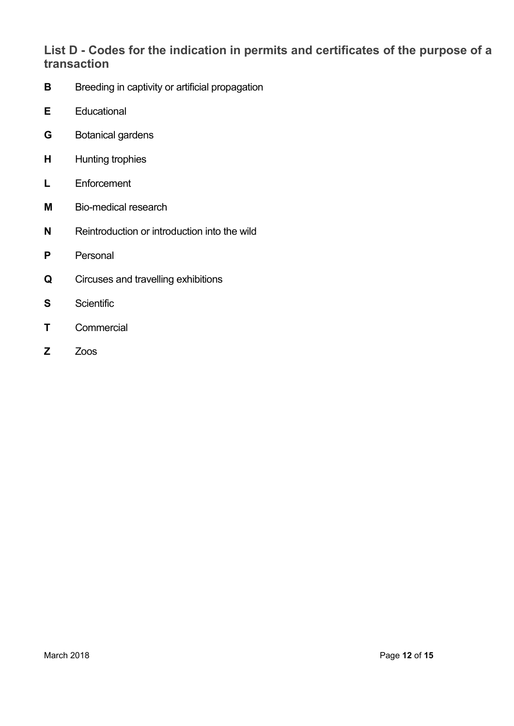# **List D - Codes for the indication in permits and certificates of the purpose of a transaction**

- **B** Breeding in captivity or artificial propagation
- **E** Educational
- **G** Botanical gardens
- **H** Hunting trophies
- **L** Enforcement
- **M** Bio-medical research
- **N** Reintroduction or introduction into the wild
- **P** Personal
- **Q** Circuses and travelling exhibitions
- **S** Scientific
- **T** Commercial
- **Z** Zoos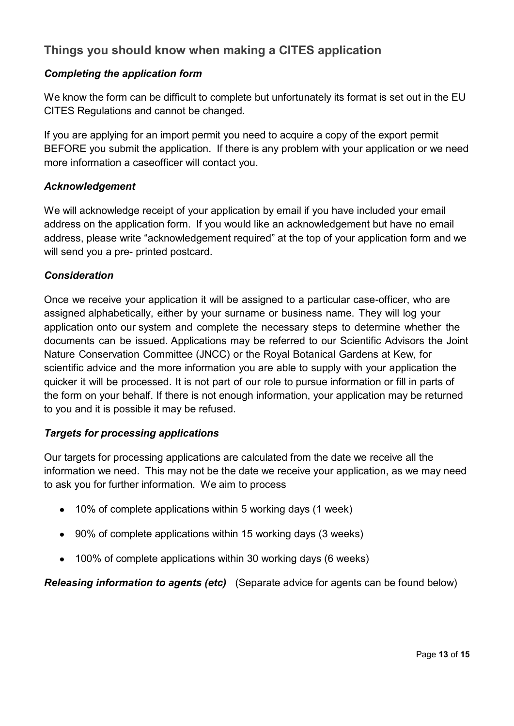# **Things you should know when making a CITES application**

#### *Completing the application form*

We know the form can be difficult to complete but unfortunately its format is set out in the EU CITES Regulations and cannot be changed.

If you are applying for an import permit you need to acquire a copy of the export permit BEFORE you submit the application. If there is any problem with your application or we need more information a caseofficer will contact you.

#### *Acknowledgement*

We will acknowledge receipt of your application by email if you have included your email address on the application form. If you would like an acknowledgement but have no email address, please write "acknowledgement required" at the top of your application form and we will send you a pre- printed postcard.

#### *Consideration*

Once we receive your application it will be assigned to a particular case-officer, who are assigned alphabetically, either by your surname or business name. They will log your application onto our system and complete the necessary steps to determine whether the documents can be issued. Applications may be referred to our Scientific Advisors the Joint Nature Conservation Committee (JNCC) or the Royal Botanical Gardens at Kew, for scientific advice and the more information you are able to supply with your application the quicker it will be processed. It is not part of our role to pursue information or fill in parts of the form on your behalf. If there is not enough information, your application may be returned to you and it is possible it may be refused.

#### *Targets for processing applications*

Our targets for processing applications are calculated from the date we receive all the information we need. This may not be the date we receive your application, as we may need to ask you for further information. We aim to process

- 10% of complete applications within 5 working days (1 week)
- 90% of complete applications within 15 working days (3 weeks)
- 100% of complete applications within 30 working days (6 weeks)

*Releasing information to agents (etc)* (Separate advice for agents can be found below)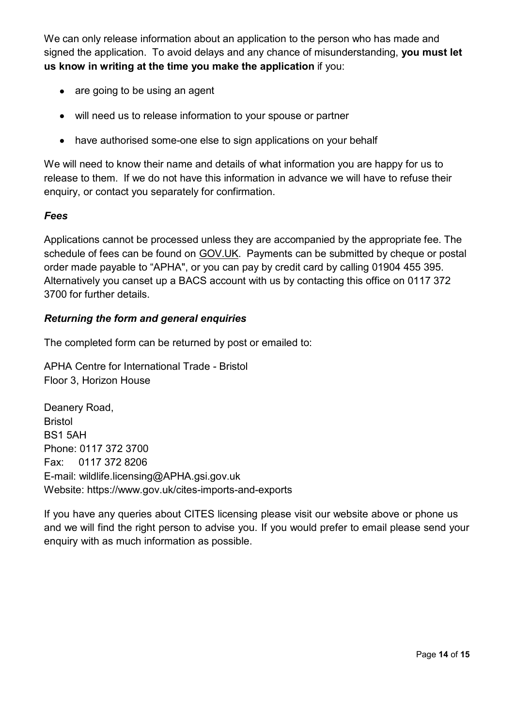We can only release information about an application to the person who has made and signed the application. To avoid delays and any chance of misunderstanding, **you must let us know in writing at the time you make the application** if you:

- are going to be using an agent
- will need us to release information to your spouse or partner
- have authorised some-one else to sign applications on your behalf

We will need to know their name and details of what information you are happy for us to release to them. If we do not have this information in advance we will have to refuse their enquiry, or contact you separately for confirmation.

#### *Fees*

Applications cannot be processed unless they are accompanied by the appropriate fee. The schedule of fees can be found on [GOV.UK.](https://www.gov.uk/cites-imports-and-exports#charges) Payments can be submitted by cheque or postal order made payable to "APHA", or you can pay by credit card by calling 01904 455 395. Alternatively you canset up a BACS account with us by contacting this office on 0117 372 3700 for further details.

#### *Returning the form and general enquiries*

The completed form can be returned by post or emailed to:

APHA Centre for International Trade - Bristol Floor 3, Horizon House

Deanery Road, Bristol BS1 5AH Phone: 0117 372 3700 Fax: 0117 372 8206 E-mail: [wildlife.licensing@APHA.gsi.gov.uk](mailto:wildlife.licensing@APHA.gsi.gov.uk) Website: https:/[/www.gov.uk/cites-imports-and-exports](http://www.gov.uk/cites-imports-and-exports)

If you have any queries about CITES licensing please visit our website above or phone us and we will find the right person to advise you. If you would prefer to email please send your enquiry with as much information as possible.